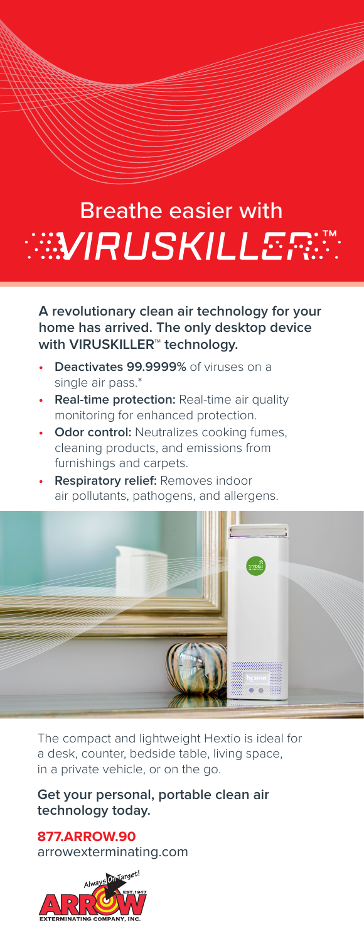## Breathe easier with **ANRUSKILLERA**

**A revolutionary clean air technology for your home has arrived. The only desktop device with VIRUSKILLER™ technology.**

- **• Deactivates 99.9999%** of viruses on a single air pass.\*
- **• Real-time protection:** Real-time air quality monitoring for enhanced protection.
- **• Odor control:** Neutralizes cooking fumes, cleaning products, and emissions from furnishings and carpets.
- **• Respiratory relief:** Removes indoor air pollutants, pathogens, and allergens.



The compact and lightweight Hextio is ideal for a desk, counter, bedside table, living space, in a private vehicle, or on the go.

**Get your personal, portable clean air technology today.**

**877.ARROW.90** arrowexterminating.com